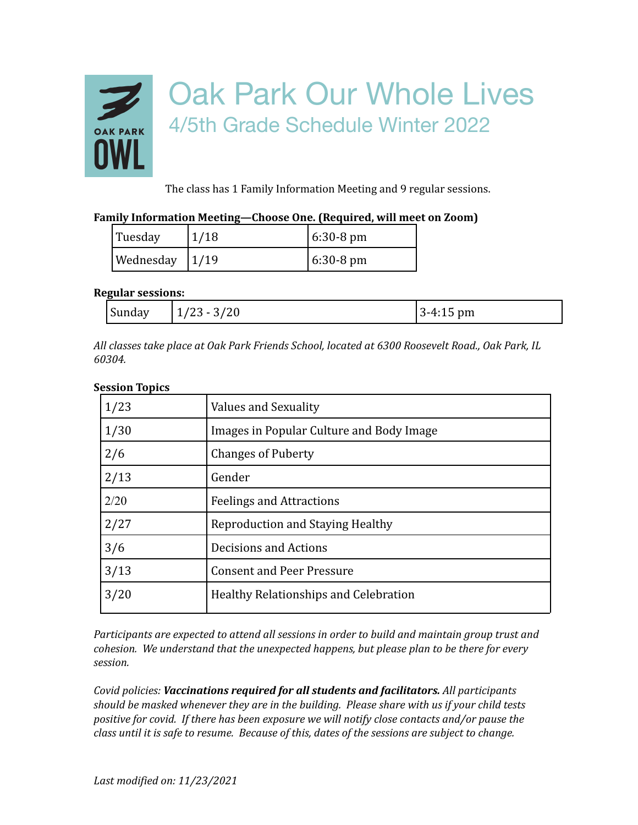

The class has 1 Family Information Meeting and 9 regular sessions.

## **Family Information Meeting—Choose One. (Required, will meet on Zoom)**

| Tuesday            | 1/18 | $6:30-8 \text{ pm}$ |
|--------------------|------|---------------------|
| Wednesday $ 1/19 $ |      | $6:30-8 \text{ pm}$ |

## **Regular sessions:**

| $\sim$<br>$- - -$<br>sunua <sup>r</sup> | . .<br>∠∪<br>27 P.J | ື້<br>hm<br>ີ |
|-----------------------------------------|---------------------|---------------|
|-----------------------------------------|---------------------|---------------|

*All classes take place at Oak Park Friends School, located at 6300 Roosevelt Road., Oak Park, IL 60304.*

## **Session Topics**

| 1/23 | Values and Sexuality                     |
|------|------------------------------------------|
| 1/30 | Images in Popular Culture and Body Image |
| 2/6  | <b>Changes of Puberty</b>                |
| 2/13 | Gender                                   |
| 2/20 | <b>Feelings and Attractions</b>          |
| 2/27 | Reproduction and Staying Healthy         |
| 3/6  | Decisions and Actions                    |
| 3/13 | <b>Consent and Peer Pressure</b>         |
| 3/20 | Healthy Relationships and Celebration    |

*Participants are expected to attend all sessions in order to build and maintain group trust and cohesion. We understand that the unexpected happens, but please plan to be there for every session.*

*Covid policies: Vaccinations required for all students and facilitators. All participants should be masked whenever they are in the building. Please share with us if your child tests positive for covid. If there has been exposure we will notify close contacts and/or pause the class until it is safe to resume. Because of this, dates of the sessions are subject to change.*